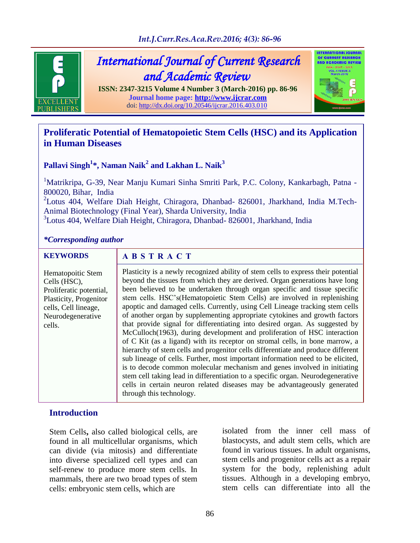

*International Journal of Current Research and Academic Review* 

**ISSN: 2347-3215 Volume 4 Number 3 (March-2016) pp. 86-96 Journal home page: [http://www.ijcrar.com](http://www.ijcrar.com/)** doi:<http://dx.doi.org/10.20546/ijcrar.2016.403.010>

# **Proliferatic Potential of Hematopoietic Stem Cells (HSC) and its Application**

**OTERORTIONAL JOURNA** OF CURRENT RESERI AND ACADEMIC REVIEW

# **Pallavi Singh<sup>1</sup> \*, Naman Naik<sup>2</sup> and Lakhan L. Naik<sup>3</sup>**

<sup>1</sup>Matrikripa, G-39, Near Manju Kumari Sinha Smriti Park, P.C. Colony, Kankarbagh, Patna -800020, Bihar, India <sup>2</sup>Lotus 404, Welfare Diah Height, Chiragora, Dhanbad- 826001, Jharkhand, India M.Tech-Animal Biotechnology (Final Year), Sharda University, India

3 Lotus 404, Welfare Diah Height, Chiragora, Dhanbad- 826001, Jharkhand, India

# *\*Corresponding author*

**in Human Diseases**

#### **KEYWORDS**

#### **A B S T R A C T**

Plasticity is a newly recognized ability of stem cells to express their potential beyond the tissues from which they are derived. Organ generations have long been believed to be undertaken through organ specific and tissue specific stem cells. HSC's(Hematopoietic Stem Cells) are involved in replenishing apoptic and damaged cells. Currently, using Cell Lineage tracking stem cells of another organ by supplementing appropriate cytokines and growth factors that provide signal for differentiating into desired organ. As suggested by McCulloch(1963), during development and proliferation of HSC interaction of C Kit (as a ligand) with its receptor on stromal cells, in bone marrow, a hierarchy of stem cells and progenitor cells differentiate and produce different sub lineage of cells. Further, most important information need to be elicited, is to decode common molecular mechanism and genes involved in initiating stem cell taking lead in differentiation to a specific organ. Neurodegenerative cells in certain neuron related diseases may be advantageously generated through this technology. Hematopoitic Stem Cells (HSC), Proliferatic potential, Plasticity, Progenitor cells, Cell lineage, Neurodegenerative cells.

# **Introduction**

Stem Cells**,** also called biological cells, are found in all multicellular organisms, which can divide (via mitosis) and differentiate into diverse specialized cell types and can self-renew to produce more stem cells. In mammals, there are two broad types of stem cells: embryonic stem cells, which are

isolated from the inner cell mass of blastocysts, and adult stem cells, which are found in various tissues. In adult organisms, stem cells and progenitor cells act as a repair system for the body, replenishing adult tissues. Although in a developing embryo, stem cells can differentiate into all the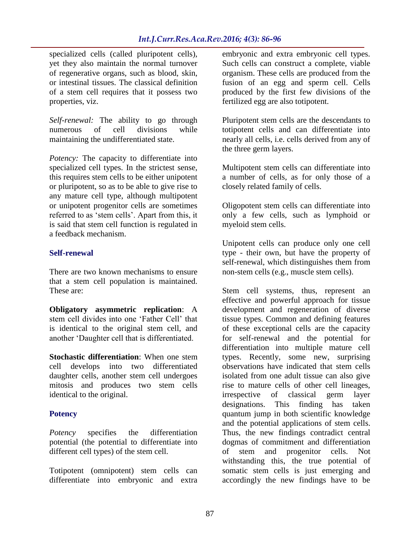specialized cells (called pluripotent cells), yet they also maintain the normal turnover of regenerative organs, such as blood, skin, or intestinal tissues. The classical definition of a stem cell requires that it possess two properties, viz.

*Self-renewal:* The ability to go through numerous of cell divisions while maintaining the undifferentiated state.

*Potency:* The capacity to differentiate into specialized cell types. In the strictest sense, this requires stem cells to be either unipotent or pluripotent, so as to be able to give rise to any mature cell type, although multipotent or unipotent progenitor cells are sometimes referred to as 'stem cells'. Apart from this, it is said that stem cell function is regulated in a feedback mechanism.

# **Self-renewal**

There are two known mechanisms to ensure that a stem cell population is maintained. These are:

**Obligatory asymmetric replication**: A stem cell divides into one 'Father Cell' that is identical to the original stem cell, and another 'Daughter cell that is differentiated.

**Stochastic differentiation**: When one stem cell develops into two differentiated daughter cells, another stem cell undergoes mitosis and produces two stem cells identical to the original.

# **Potency**

*Potency* specifies the differentiation potential (the potential to differentiate into different cell types) of the stem cell.

Totipotent (omnipotent) stem cells can differentiate into embryonic and extra embryonic and extra embryonic cell types. Such cells can construct a complete, viable organism. These cells are produced from the fusion of an egg and sperm cell. Cells produced by the first few divisions of the fertilized egg are also totipotent.

Pluripotent stem cells are the descendants to totipotent cells and can differentiate into nearly all cells, i.e. cells derived from any of the three germ layers.

Multipotent stem cells can differentiate into a number of cells, as for only those of a closely related family of cells.

Oligopotent stem cells can differentiate into only a few cells, such as lymphoid or myeloid stem cells.

Unipotent cells can produce only one cell type - their own, but have the property of self-renewal, which distinguishes them from non-stem cells (e.g., muscle stem cells).

Stem cell systems, thus, represent an effective and powerful approach for tissue development and regeneration of diverse tissue types. Common and defining features of these exceptional cells are the capacity for self-renewal and the potential for differentiation into multiple mature cell types. Recently, some new, surprising observations have indicated that stem cells isolated from one adult tissue can also give rise to mature cells of other cell lineages, irrespective of classical germ layer designations. This finding has taken quantum jump in both scientific knowledge and the potential applications of stem cells. Thus, the new findings contradict central dogmas of commitment and differentiation of stem and progenitor cells. Not withstanding this, the true potential of somatic stem cells is just emerging and accordingly the new findings have to be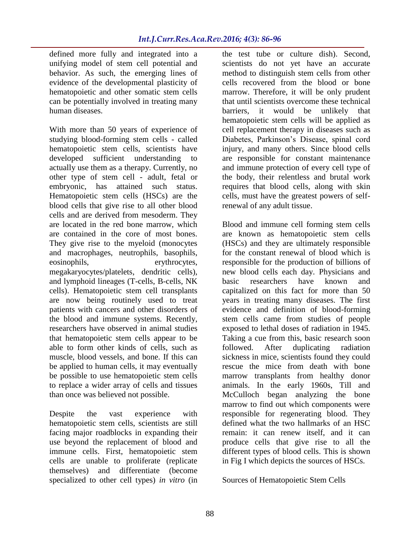defined more fully and integrated into a unifying model of stem cell potential and behavior. As such, the emerging lines of evidence of the developmental plasticity of hematopoietic and other somatic stem cells can be potentially involved in treating many human diseases.

With more than 50 years of experience of studying blood-forming stem cells - called hematopoietic stem cells, scientists have developed sufficient understanding to actually use them as a therapy. Currently, no other type of stem cell - adult, fetal or embryonic, has attained such status. Hematopoietic stem cells (HSCs) are the blood cells that give rise to all other blood cells and are derived from mesoderm. They are located in the red bone marrow, which are contained in the core of most bones. They give rise to the myeloid (monocytes and macrophages, neutrophils, basophils, eosinophils, erythrocytes, megakaryocytes/platelets, dendritic cells), and lymphoid lineages (T-cells, B-cells, NK cells). Hematopoietic stem cell transplants are now being routinely used to treat patients with cancers and other disorders of the blood and immune systems. Recently, researchers have observed in animal studies that hematopoietic stem cells appear to be able to form other kinds of cells, such as muscle, blood vessels, and bone. If this can be applied to human cells, it may eventually be possible to use hematopoietic stem cells to replace a wider array of cells and tissues than once was believed not possible.

Despite the vast experience with hematopoietic stem cells, scientists are still facing major roadblocks in expanding their use beyond the replacement of blood and immune cells. First, hematopoietic stem cells are unable to proliferate (replicate themselves) and differentiate (become specialized to other cell types) *in vitro* (in

the test tube or culture dish). Second, scientists do not yet have an accurate method to distinguish stem cells from other cells recovered from the blood or bone marrow. Therefore, it will be only prudent that until scientists overcome these technical barriers, it would be unlikely that hematopoietic stem cells will be applied as cell replacement therapy in diseases such as Diabetes, Parkinson's Disease, spinal cord injury, and many others. Since blood cells are responsible for constant maintenance and immune protection of every cell type of the body, their relentless and brutal work requires that blood cells, along with skin cells, must have the greatest powers of selfrenewal of any adult tissue.

Blood and immune cell forming stem cells are known as hematopoietic stem cells (HSCs) and they are ultimately responsible for the constant renewal of blood which is responsible for the production of billions of new blood cells each day. Physicians and basic researchers have known and capitalized on this fact for more than 50 years in treating many diseases. The first evidence and definition of blood-forming stem cells came from studies of people exposed to lethal doses of radiation in 1945. Taking a cue from this, basic research soon followed. After duplicating radiation sickness in mice, scientists found they could rescue the mice from death with bone marrow transplants from healthy donor animals. In the early 1960s, Till and McCulloch began analyzing the bone marrow to find out which components were responsible for regenerating blood. They defined what the two hallmarks of an HSC remain: it can renew itself, and it can produce cells that give rise to all the different types of blood cells. This is shown in Fig I which depicts the sources of HSCs.

Sources of Hematopoietic Stem Cells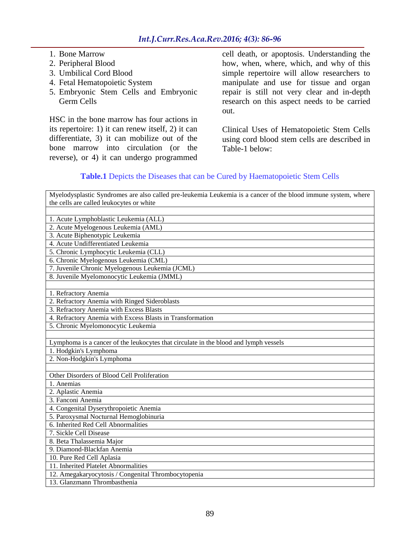- 1. Bone Marrow
- 2. Peripheral Blood
- 3. Umbilical Cord Blood
- 4. Fetal Hematopoietic System
- 5. Embryonic Stem Cells and Embryonic Germ Cells

HSC in the bone marrow has four actions in its repertoire: 1) it can renew itself, 2) it can differentiate, 3) it can mobilize out of the bone marrow into circulation (or the reverse), or 4) it can undergo programmed

cell death, or apoptosis. Understanding the how, when, where, which, and why of this simple repertoire will allow researchers to manipulate and use for tissue and organ repair is still not very clear and in-depth research on this aspect needs to be carried out.

Clinical Uses of Hematopoietic Stem Cells using cord blood stem cells are described in Table-1 below:

# **Table.1** Depicts the Diseases that can be Cured by Haematopoietic Stem Cells

| Myelodysplastic Syndromes are also called pre-leukemia Leukemia is a cancer of the blood immune system, where |
|---------------------------------------------------------------------------------------------------------------|
| the cells are called leukocytes or white                                                                      |
|                                                                                                               |
| 1. Acute Lymphoblastic Leukemia (ALL)                                                                         |
| 2. Acute Myelogenous Leukemia (AML)                                                                           |
| 3. Acute Biphenotypic Leukemia                                                                                |
| 4. Acute Undifferentiated Leukemia                                                                            |
| 5. Chronic Lymphocytic Leukemia (CLL)                                                                         |
| 6. Chronic Myelogenous Leukemia (CML)                                                                         |
| 7. Juvenile Chronic Myelogenous Leukemia (JCML)                                                               |
| 8. Juvenile Myelomonocytic Leukemia (JMML)                                                                    |
|                                                                                                               |
| 1. Refractory Anemia                                                                                          |
| 2. Refractory Anemia with Ringed Sideroblasts                                                                 |
| 3. Refractory Anemia with Excess Blasts                                                                       |
| 4. Refractory Anemia with Excess Blasts in Transformation                                                     |
| 5. Chronic Myelomonocytic Leukemia                                                                            |
|                                                                                                               |
| Lymphoma is a cancer of the leukocytes that circulate in the blood and lymph vessels                          |
| 1. Hodgkin's Lymphoma                                                                                         |
| 2. Non-Hodgkin's Lymphoma                                                                                     |
|                                                                                                               |
| Other Disorders of Blood Cell Proliferation                                                                   |
| 1. Anemias                                                                                                    |
| 2. Aplastic Anemia                                                                                            |
| 3. Fanconi Anemia                                                                                             |
| 4. Congenital Dyserythropoietic Anemia                                                                        |
| 5. Paroxysmal Nocturnal Hemoglobinuria                                                                        |
| 6. Inherited Red Cell Abnormalities                                                                           |
| 7. Sickle Cell Disease                                                                                        |
| 8. Beta Thalassemia Major                                                                                     |
| 9. Diamond-Blackfan Anemia                                                                                    |
| 10. Pure Red Cell Aplasia                                                                                     |
| 11. Inherited Platelet Abnormalities                                                                          |
| 12. Amegakaryocytosis / Congenital Thrombocytopenia                                                           |
| 13. Glanzmann Thrombasthenia                                                                                  |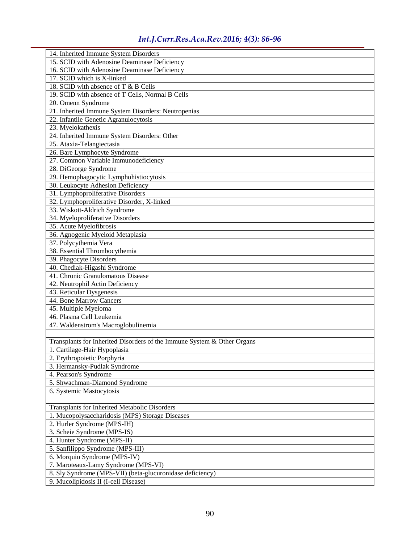| 14. Inherited Immune System Disorders                                          |
|--------------------------------------------------------------------------------|
| 15. SCID with Adenosine Deaminase Deficiency                                   |
| 16. SCID with Adenosine Deaminase Deficiency                                   |
| 17. SCID which is X-linked                                                     |
| 18. SCID with absence of T & B Cells                                           |
| 19. SCID with absence of T Cells, Normal B Cells                               |
| 20. Omenn Syndrome                                                             |
| 21. Inherited Immune System Disorders: Neutropenias                            |
| 22. Infantile Genetic Agranulocytosis                                          |
| 23. Myelokathexis                                                              |
| 24. Inherited Immune System Disorders: Other                                   |
| 25. Ataxia-Telangiectasia                                                      |
|                                                                                |
| 26. Bare Lymphocyte Syndrome                                                   |
| 27. Common Variable Immunodeficiency                                           |
| 28. DiGeorge Syndrome                                                          |
| 29. Hemophagocytic Lymphohistiocytosis                                         |
| 30. Leukocyte Adhesion Deficiency                                              |
| 31. Lymphoproliferative Disorders                                              |
| 32. Lymphoproliferative Disorder, X-linked                                     |
| 33. Wiskott-Aldrich Syndrome                                                   |
| 34. Myeloproliferative Disorders                                               |
| 35. Acute Myelofibrosis                                                        |
| 36. Agnogenic Myeloid Metaplasia                                               |
| 37. Polycythemia Vera                                                          |
| 38. Essential Thrombocythemia                                                  |
| 39. Phagocyte Disorders                                                        |
| 40. Chediak-Higashi Syndrome                                                   |
| 41. Chronic Granulomatous Disease                                              |
| 42. Neutrophil Actin Deficiency                                                |
| 43. Reticular Dysgenesis                                                       |
| 44. Bone Marrow Cancers                                                        |
| 45. Multiple Myeloma                                                           |
| 46. Plasma Cell Leukemia                                                       |
| 47. Waldenstrom's Macroglobulinemia                                            |
|                                                                                |
| Transplants for Inherited Disorders of the Immune System & Other Organs        |
| 1. Cartilage-Hair Hypoplasia                                                   |
| 2. Erythropoietic Porphyria                                                    |
| 3. Hermansky-Pudlak Syndrome                                                   |
| 4. Pearson's Syndrome                                                          |
| 5. Shwachman-Diamond Syndrome                                                  |
| 6. Systemic Mastocytosis                                                       |
|                                                                                |
| Transplants for Inherited Metabolic Disorders                                  |
|                                                                                |
| 1. Mucopolysaccharidosis (MPS) Storage Diseases<br>2. Hurler Syndrome (MPS-IH) |
|                                                                                |
| 3. Scheie Syndrome (MPS-IS)                                                    |
| 4. Hunter Syndrome (MPS-II)                                                    |
| 5. Sanfilippo Syndrome (MPS-III)                                               |
| 6. Morquio Syndrome (MPS-IV)                                                   |
| 7. Maroteaux-Lamy Syndrome (MPS-VI)                                            |
| 8. Sly Syndrome (MPS-VII) (beta-glucuronidase deficiency)                      |
| 9. Mucolipidosis II (I-cell Disease)                                           |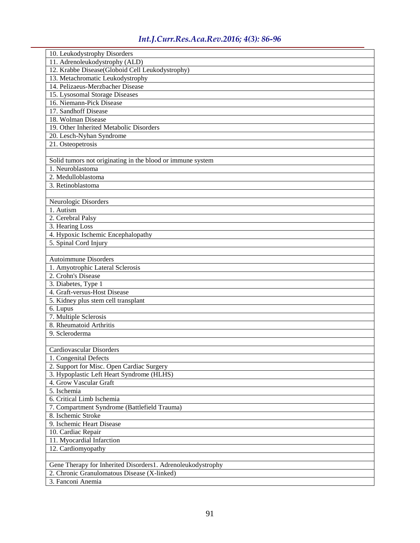| 10. Leukodystrophy Disorders                                                   |
|--------------------------------------------------------------------------------|
| 11. Adrenoleukodystrophy (ALD)                                                 |
| 12. Krabbe Disease(Globoid Cell Leukodystrophy)                                |
| 13. Metachromatic Leukodystrophy                                               |
| 14. Pelizaeus-Merzbacher Disease                                               |
| 15. Lysosomal Storage Diseases                                                 |
| 16. Niemann-Pick Disease                                                       |
| 17. Sandhoff Disease                                                           |
| 18. Wolman Disease                                                             |
| 19. Other Inherited Metabolic Disorders                                        |
| 20. Lesch-Nyhan Syndrome                                                       |
| 21. Osteopetrosis                                                              |
|                                                                                |
|                                                                                |
| Solid tumors not originating in the blood or immune system<br>1. Neuroblastoma |
|                                                                                |
| 2. Medulloblastoma                                                             |
| 3. Retinoblastoma                                                              |
|                                                                                |
| Neurologic Disorders                                                           |
| 1. Autism                                                                      |
| 2. Cerebral Palsy                                                              |
| 3. Hearing Loss                                                                |
| 4. Hypoxic Ischemic Encephalopathy                                             |
| 5. Spinal Cord Injury                                                          |
|                                                                                |
| <b>Autoimmune Disorders</b>                                                    |
| 1. Amyotrophic Lateral Sclerosis                                               |
| 2. Crohn's Disease                                                             |
| 3. Diabetes, Type 1                                                            |
| 4. Graft-versus-Host Disease                                                   |
| 5. Kidney plus stem cell transplant                                            |
| 6. Lupus                                                                       |
| 7. Multiple Sclerosis                                                          |
| 8. Rheumatoid Arthritis                                                        |
| 9. Scleroderma                                                                 |
|                                                                                |
| Cardiovascular Disorders                                                       |
| 1. Congenital Defects                                                          |
| 2. Support for Misc. Open Cardiac Surgery                                      |
| 3. Hypoplastic Left Heart Syndrome (HLHS)                                      |
| 4. Grow Vascular Graft                                                         |
| 5. Ischemia                                                                    |
| 6. Critical Limb Ischemia                                                      |
| 7. Compartment Syndrome (Battlefield Trauma)                                   |
| 8. Ischemic Stroke                                                             |
| 9. Ischemic Heart Disease                                                      |
| 10. Cardiac Repair                                                             |
| 11. Myocardial Infarction                                                      |
| 12. Cardiomyopathy                                                             |
|                                                                                |
| Gene Therapy for Inherited Disorders1. Adrenoleukodystrophy                    |
| 2. Chronic Granulomatous Disease (X-linked)                                    |
| 3. Fanconi Anemia                                                              |
|                                                                                |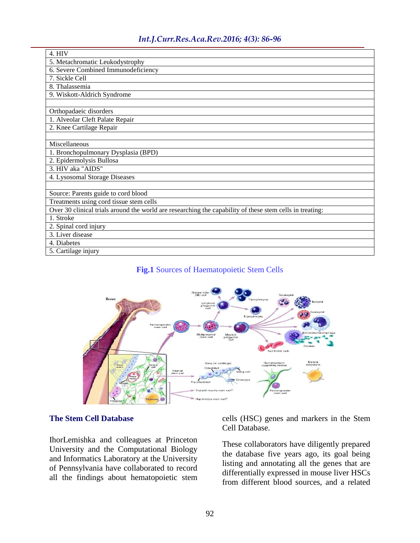| 4. HIV                                                                                                   |
|----------------------------------------------------------------------------------------------------------|
| 5. Metachromatic Leukodystrophy                                                                          |
| 6. Severe Combined Immunodeficiency                                                                      |
| 7. Sickle Cell                                                                                           |
| $8.$ Thalassemia                                                                                         |
| 9. Wiskott-Aldrich Syndrome                                                                              |
|                                                                                                          |
| Orthopadaeic disorders                                                                                   |
| 1. Alveolar Cleft Palate Repair                                                                          |
| 2. Knee Cartilage Repair                                                                                 |
|                                                                                                          |
| Miscellaneous                                                                                            |
| 1. Bronchopulmonary Dysplasia (BPD)                                                                      |
| 2. Epidermolysis Bullosa                                                                                 |
| 3. HIV aka "AIDS"                                                                                        |
| 4. Lysosomal Storage Diseases                                                                            |
|                                                                                                          |
| Source: Parents guide to cord blood                                                                      |
| Treatments using cord tissue stem cells                                                                  |
| Over 30 clinical trials around the world are researching the capability of these stem cells in treating: |
| 1. Stroke                                                                                                |
| 2. Spinal cord injury                                                                                    |
| 3. Liver disease                                                                                         |
| 4. Diabetes                                                                                              |
| 5. Cartilage injury                                                                                      |

#### **Fig.1** Sources of Haematopoietic Stem Cells



#### **The Stem Cell Database**

IhorLemishka and colleagues at Princeton University and the Computational Biology and Informatics Laboratory at the University of Pennsylvania have collaborated to record all the findings about hematopoietic stem

cells (HSC) genes and markers in the Stem Cell Database.

These collaborators have diligently prepared the database five years ago, its goal being listing and annotating all the genes that are differentially expressed in mouse liver HSCs from different blood sources, and a related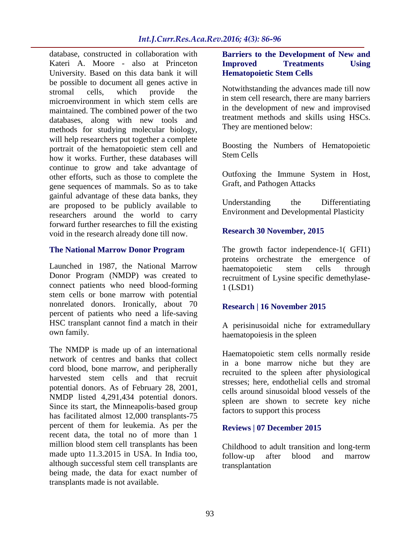database, constructed in collaboration with Kateri A. Moore - also at Princeton University. Based on this data bank it will be possible to document all genes active in stromal cells, which provide the microenvironment in which stem cells are maintained. The combined power of the two databases, along with new tools and methods for studying molecular biology, will help researchers put together a complete portrait of the hematopoietic stem cell and how it works. Further, these databases will continue to grow and take advantage of other efforts, such as those to complete the gene sequences of mammals. So as to take gainful advantage of these data banks, they are proposed to be publicly available to researchers around the world to carry forward further researches to fill the existing void in the research already done till now.

#### **The National Marrow Donor Program**

Launched in 1987, the National Marrow Donor Program (NMDP) was created to connect patients who need blood-forming stem cells or bone marrow with potential nonrelated donors. Ironically, about 70 percent of patients who need a life-saving HSC transplant cannot find a match in their own family.

The NMDP is made up of an international network of centres and banks that collect cord blood, bone marrow, and peripherally harvested stem cells and that recruit potential donors. As of February 28, 2001, NMDP listed 4,291,434 potential donors. Since its start, the Minneapolis-based group has facilitated almost 12,000 transplants-75 percent of them for leukemia. As per the recent data, the total no of more than 1 million blood stem cell transplants has been made upto 11.3.2015 in USA. In India too, although successful stem cell transplants are being made, the data for exact number of transplants made is not available.

# **Barriers to the Development of New and Improved Treatments Using Hematopoietic Stem Cells**

Notwithstanding the advances made till now in stem cell research, there are many barriers in the development of new and improvised treatment methods and skills using HSCs. They are mentioned below:

Boosting the Numbers of Hematopoietic Stem Cells

Outfoxing the Immune System in Host, Graft, and Pathogen Attacks

Understanding the Differentiating Environment and Developmental Plasticity

# **Research 30 November, 2015**

The growth factor independence-1( [GFI1\)](http://www.nature.com/ncb/journal/vaop/ncurrent/full/ncb3276.html) [proteins orchestrate the emergence of](http://www.nature.com/ncb/journal/vaop/ncurrent/full/ncb3276.html)  [haematopoietic stem cells through](http://www.nature.com/ncb/journal/vaop/ncurrent/full/ncb3276.html)  [recruitment of Lysine specific demethylase-](http://www.nature.com/ncb/journal/vaop/ncurrent/full/ncb3276.html)1 [\(LSD1\)](http://www.nature.com/ncb/journal/vaop/ncurrent/full/ncb3276.html)

# **Research | 16 November 2015**

[A perisinusoidal niche for extramedullary](http://www.nature.com/nature/journal/v527/n7579/full/nature15530.html)  [haematopoiesis in the spleen](http://www.nature.com/nature/journal/v527/n7579/full/nature15530.html)

Haematopoietic stem cells normally reside in a bone marrow niche but they are recruited to the spleen after physiological stresses; here, endothelial cells and stromal cells around sinusoidal blood vessels of the spleen are shown to secrete key niche factors to support this process

# **Reviews | 07 December 2015**

[Childhood to adult transition and long-term](http://www.nature.com/bmt/journal/vaop/ncurrent/full/bmt2015228a.html)  [follow-up after blood and marrow](http://www.nature.com/bmt/journal/vaop/ncurrent/full/bmt2015228a.html)  [transplantation](http://www.nature.com/bmt/journal/vaop/ncurrent/full/bmt2015228a.html)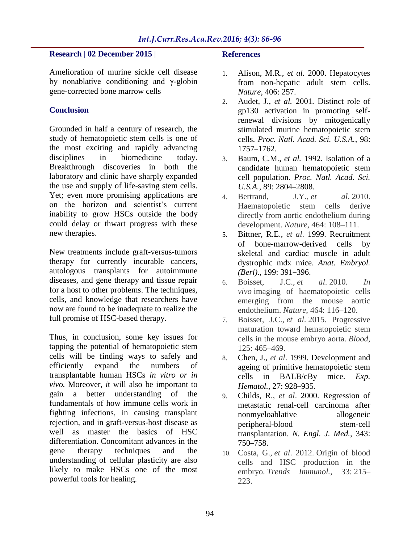#### **Research | 02 December 2015** |

[Amelioration of murine sickle cell disease](http://www.nature.com/articles/mtm201545)  [by nonablative conditioning and γ-globin](http://www.nature.com/articles/mtm201545)  [gene-corrected bone marrow cells](http://www.nature.com/articles/mtm201545)

#### **Conclusion**

Grounded in half a century of research, the study of hematopoietic stem cells is one of the most exciting and rapidly advancing disciplines in biomedicine today. Breakthrough discoveries in both the laboratory and clinic have sharply expanded the use and supply of life-saving stem cells. Yet; even more promising applications are on the horizon and scientist's current inability to grow HSCs outside the body could delay or thwart progress with these new therapies.

New treatments include graft-versus-tumors therapy for currently incurable cancers, autologous transplants for autoimmune diseases, and gene therapy and tissue repair for a host to other problems. The techniques, cells, and knowledge that researchers have now are found to be inadequate to realize the full promise of HSC-based therapy.

Thus, in conclusion, some key issues for tapping the potential of hematopoietic stem cells will be finding ways to safely and efficiently expand the numbers of transplantable human HSCs *in vitro or in vivo.* Moreover*, i*t will also be important to gain a better understanding of the fundamentals of how immune cells work in fighting infections, in causing transplant rejection, and in graft-versus-host disease as well as master the basics of HSC differentiation. Concomitant advances in the gene therapy techniques and the understanding of cellular plasticity are also likely to make HSCs one of the most powerful tools for healing.

#### **References**

- 1. Alison, M.R., *et al.* 2000. Hepatocytes from non-hepatic adult stem cells. *Nature*, 406: 257.
- 2. Audet, J., *et al.* 2001. Distinct role of gp130 activation in promoting selfrenewal divisions by mitogenically stimulated murine hematopoietic stem cells. *Proc. Natl. Acad. Sci. U.S.A.*, 98: 1757–1762.
- 3. Baum, C.M., *et al.* 1992. Isolation of a candidate human hematopoietic stem cell population. *Proc. Natl. Acad. Sci. U.S.A.,* 89: 2804–2808.
- 4. Bertrand, J.Y., *et al*. 2010. Haematopoietic stem cells derive directly from aortic endothelium during development. *Nature,* 464: 108–111.
- 5. Bittner, R.E., *et al*. 1999. Recruitment of bone-marrow-derived cells by skeletal and cardiac muscle in adult dystrophic mdx mice. *Anat. Embryol. (Berl).,* 199: 391–396.
- 6. Boisset, J.C., *et al*. 2010. *In vivo* imaging of haematopoietic cells emerging from the mouse aortic endothelium. *Nature*, 464: 116–120.
- 7. Boisset, J.C., *et al*. 2015. Progressive maturation toward hematopoietic stem cells in the mouse embryo aorta. *Blood*, 125: 465–469.
- 8. Chen, J., *et al*. 1999. Development and ageing of primitive hematopoietic stem cells in BALB/cBy mice. *Exp. Hematol.,* 27: 928–935.
- 9. Childs, R., *et al*. 2000. Regression of metastatic renal-cell carcinoma after nonmyeloablative allogeneic peripheral-blood stem-cell transplantation. *N. Engl. J. Med.,* 343: 750–758.
- 10. Costa, G., *et al*. 2012. Origin of blood cells and HSC production in the embryo. *Trends Immunol.*, 33: 215– 223.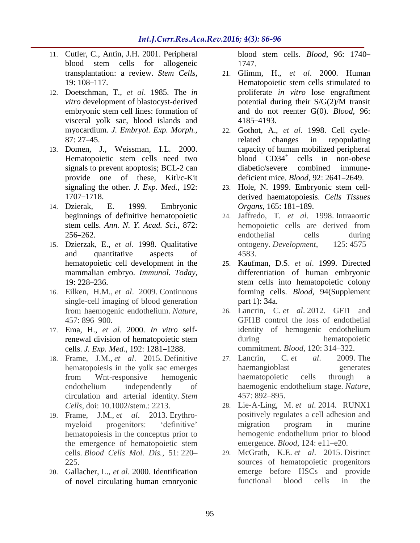- 11. Cutler, C., Antin, J.H. 2001. Peripheral blood stem cells for allogeneic transplantation: a review. *Stem Cells,* 19: 108–117.
- 12. Doetschman, T., *et al*. 1985. The *in vitro* development of blastocyst-derived embryonic stem cell lines: formation of visceral yolk sac, blood islands and myocardium. *J. Embryol. Exp. Morph.,* 87: 27–45.
- 13. Domen, J., Weissman, I.L. 2000. Hematopoietic stem cells need two signals to prevent apoptosis; BCL-2 can provide one of these, Kitl/c-Kit signaling the other. *J. Exp. Med.,* 192: 1707–1718.
- 14. Dzierak, E. 1999. Embryonic beginnings of definitive hematopoietic stem cells. *Ann. N. Y. Acad. Sci.,* 872: 256–262.
- 15. Dzierzak, E., *et al*. 1998. Qualitative and quantitative aspects of hematopoietic cell development in the mammalian embryo. *Immunol. Today,* 19: 228–236.
- 16. Eilken, H.M., *et al*. 2009. Continuous single-cell imaging of blood generation from haemogenic endothelium. *Nature*, 457: 896–900.
- 17. Ema, H., *et al*. 2000. *In vitro* selfrenewal division of hematopoietic stem cells. *J. Exp. Med.,* 192: 1281–1288.
- 18. Frame, J.M., *et al*. 2015. Definitive hematopoiesis in the yolk sac emerges from Wnt-responsive hemogenic endothelium independently of circulation and arterial identity. *Stem Cells,* doi: 10.1002/stem.: 2213.
- 19. Frame, J.M., *et al*. 2013. Erythromyeloid progenitors: 'definitive' hematopoiesis in the conceptus prior to the emergence of hematopoietic stem cells. *Blood Cells Mol. Dis.*, 51: 220– 225.
- 20. Gallacher, L., *et al*. 2000. Identification of novel circulating human emnryonic

blood stem cells. *Blood,* 96: 1740– 1747.

- 21. Glimm, H., *et al*. 2000. Human Hematopoietic stem cells stimulated to proliferate *in vitro* lose engraftment potential during their S/G(2)/M transit and do not reenter G(0). *Blood,* 96: 4185–4193.
- 22. Gothot, A., *et al*. 1998. Cell cyclerelated changes in repopulating capacity of human mobilized peripheral blood  $CD34^+$ cells in non-obese diabetic/severe combined immunedeficient mice. *Blood,* 92: 2641–2649.
- 23. Hole, N. 1999. Embryonic stem cellderived haematopoiesis. *Cells Tissues Organs,* 165: 181–189.
- 24. Jaffredo, T. *et al*. 1998. Intraaortic hemopoietic cells are derived from endothelial cells during ontogeny. *Development*, 125: 4575– 4583.
- 25. Kaufman, D.S. *et al*. 1999. Directed differentiation of human embryonic stem cells into hematopoietic colony forming cells. *Blood,* 94(Supplement part 1): 34a.
- 26. Lancrin, C. *et al*. 2012. GFI1 and GFI1B control the loss of endothelial identity of hemogenic endothelium during hematopoietic commitment. *Blood*, 120: 314–322.
- 27. Lancrin, C. *et al*. 2009. The haemangioblast generates haematopoietic cells through a haemogenic endothelium stage. *Nature*, 457: 892–895.
- 28. Lie-A-Ling, M. *et al*. 2014. RUNX1 positively regulates a cell adhesion and migration program in murine hemogenic endothelium prior to blood emergence. *Blood*, 124: e11–e20.
- 29. McGrath, K.E. *et al*. 2015. Distinct sources of hematopoietic progenitors emerge before HSCs and provide functional blood cells in the